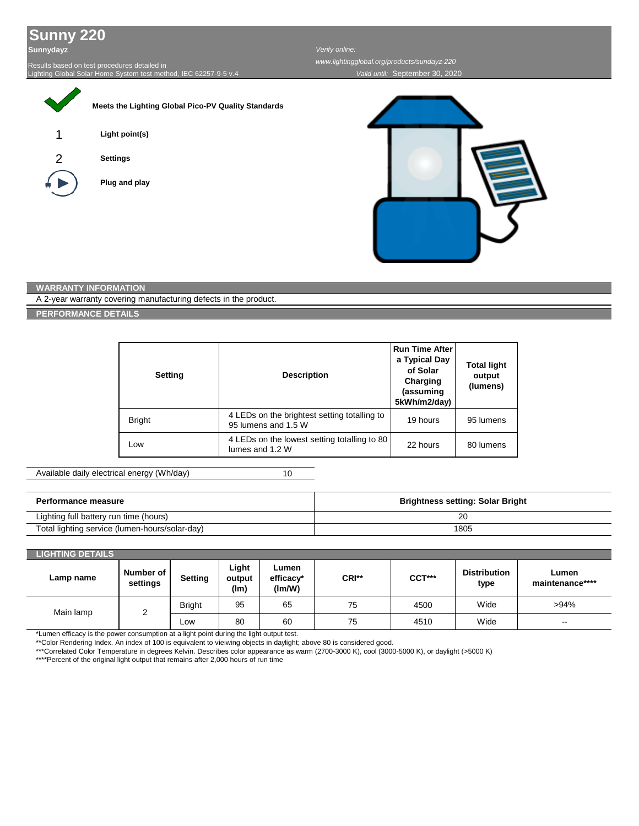## **Sunny 220**

**Sunnydayz**

Results based on test procedures detailed in Lighting Global Solar Home System test method, IEC 62257-9-5 v.4

|   | Meets the Lighting Global Pico-PV Quality Standards |  |
|---|-----------------------------------------------------|--|
| 1 | Light point(s)                                      |  |
| 2 | <b>Settings</b>                                     |  |
|   | Plug and play                                       |  |
|   |                                                     |  |
|   |                                                     |  |

## *Verify online:*

*Valid until:* September 30, 2020 *www.lightingglobal.org/products/sundayz-220*



## **WARRANTY INFORMATION**

A 2-year warranty covering manufacturing defects in the product.

**PERFORMANCE DETAILS**

| <b>Setting</b> | <b>Description</b>                                                  | <b>Run Time After</b><br>a Typical Day<br>of Solar<br>Charging<br>(assuming<br>5kWh/m2/day) | <b>Total light</b><br>output<br>(lumens) |
|----------------|---------------------------------------------------------------------|---------------------------------------------------------------------------------------------|------------------------------------------|
| <b>Bright</b>  | 4 LEDs on the brightest setting totalling to<br>95 lumens and 1.5 W | 19 hours                                                                                    | 95 lumens                                |
| Low            | 4 LEDs on the lowest setting totalling to 80<br>lumes and 1.2 W     | 22 hours                                                                                    | 80 lumens                                |

Available daily electrical energy (Wh/day)

10

| Performance measure                            | <b>Brightness setting: Solar Bright</b> |  |
|------------------------------------------------|-----------------------------------------|--|
| Lighting full battery run time (hours)         | 20                                      |  |
| Total lighting service (lumen-hours/solar-day) | 1805                                    |  |

## **Number of settings Setting Light output (lm) Lumen efficacy\* (lm/W) CRI\*\* CCT\*\*\* Distribution type Lumen maintenance\*\*\*\*** Bright | 95 | 65 | 75 | 4500 | Wide | >94% Low | 80 | 60 | 75 | 4510 | Wide | ---**LIGHTING DETAILS Lamp name** Main lamp | 2

\*Lumen efficacy is the power consumption at a light point during the light output test.

\*\*Color Rendering Index. An index of 100 is equivalent to vieiwing objects in daylight; above 80 is considered good.

\*\*\*Correlated Color Temperature in degrees Kelvin. Describes color appearance as warm (2700-3000 K), cool (3000-5000 K), or daylight (>5000 K)

\*\*\*\*Percent of the original light output that remains after 2,000 hours of run time